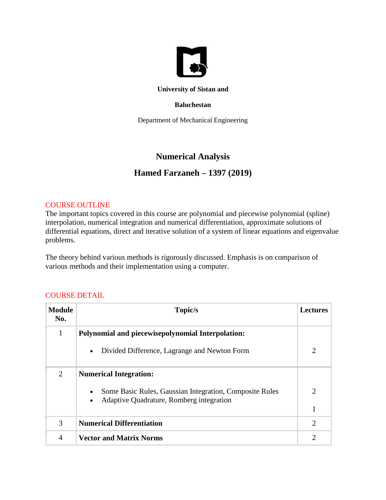

#### **University of Sistan and**

#### **Baluchestan**

Department of Mechanical Engineering

## **Numerical Analysis**

# **Hamed Farzaneh – 1397 (2019)**

#### COURSE OUTLINE

The important topics covered in this course are polynomial and piecewise polynomial (spline) interpolation, numerical integration and numerical differentiation, approximate solutions of differential equations, direct and iterative solution of a system of linear equations and eigenvalue problems.

The theory behind various methods is rigorously discussed. Emphasis is on comparison of various methods and their implementation using a computer.

## COURSE DETAIL

| <b>Module</b><br>No. | Topic/s                                                                                                                       | <b>Lectures</b> |
|----------------------|-------------------------------------------------------------------------------------------------------------------------------|-----------------|
| 1                    | Polynomial and piecewisepolynomial Interpolation:                                                                             |                 |
|                      | Divided Difference, Lagrange and Newton Form<br>$\bullet$                                                                     | $\overline{2}$  |
| 2                    | <b>Numerical Integration:</b>                                                                                                 |                 |
|                      | Some Basic Rules, Gaussian Integration, Composite Rules<br>$\bullet$<br>Adaptive Quadrature, Romberg integration<br>$\bullet$ | $\overline{2}$  |
|                      |                                                                                                                               | $\mathbf{1}$    |
| 3                    | <b>Numerical Differentiation</b>                                                                                              | 2               |
| 4                    | <b>Vector and Matrix Norms</b>                                                                                                | $\overline{2}$  |